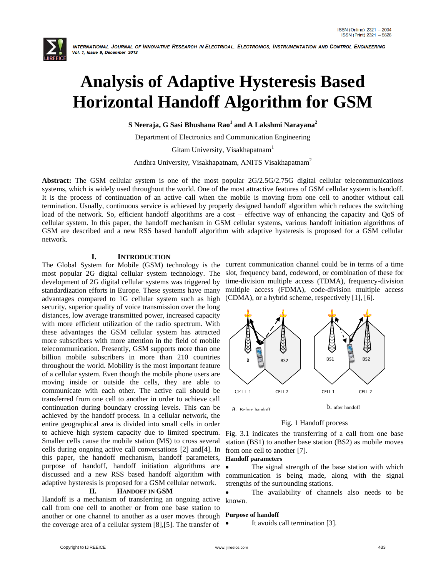

# **Analysis of Adaptive Hysteresis Based Horizontal Handoff Algorithm for GSM**

**S Neeraja, G Sasi Bhushana Rao<sup>1</sup> and A Lakshmi Narayana<sup>2</sup>**

Department of Electronics and Communication Engineering

Gitam University, Visakhapatnam<sup>1</sup>

Andhra University, Visakhapatnam, ANITS Visakhapatnam<sup>2</sup>

**Abstract:** The GSM cellular system is one of the most popular 2G/2.5G/2.75G digital cellular telecommunications systems, which is widely used throughout the world. One of the most attractive features of GSM cellular system is handoff. It is the process of continuation of an active call when the mobile is moving from one cell to another without call termination. Usually, continuous service is achieved by properly designed handoff algorithm which reduces the switching load of the network. So, efficient handoff algorithms are a cost – effective way of enhancing the capacity and QoS of cellular system. In this paper, the handoff mechanism in GSM cellular systems, various handoff initiation algorithms of GSM are described and a new RSS based handoff algorithm with adaptive hysteresis is proposed for a GSM cellular network.

## **I. INTRODUCTION**

most popular 2G digital cellular system technology. The slot, frequency band, codeword, or combination of these for development of 2G digital cellular systems was triggered by standardization efforts in Europe. These systems have many multiple access (FDMA), code-division multiple access advantages compared to 1G cellular system such as high security, superior quality of voice transmission over the long distances, lo**w** average transmitted power, increased capacity with more efficient utilization of the radio spectrum. With these advantages the GSM cellular system has attracted more subscribers with more attention in the field of mobile telecommunication. Presently, GSM supports more than one billion mobile subscribers in more than 210 countries throughout the world. Mobility is the most important feature of a cellular system. Even though the mobile phone users are moving inside or outside the cells, they are able to communicate with each other. The active call should be transferred from one cell to another in order to achieve call continuation during boundary crossing levels. This can be achieved by the handoff process. In a cellular network, the entire geographical area is divided into small cells in order to achieve high system capacity due to limited spectrum. Smaller cells cause the mobile station (MS) to cross several cells during ongoing active call conversations [2] and[4]. In this paper, the handoff mechanism, handoff parameters, purpose of handoff, handoff initiation algorithms are discussed and a new RSS based handoff algorithm with adaptive hysteresis is proposed for a GSM cellular network.

#### **II. HANDOFF IN GSM**

Handoff is a mechanism of transferring an ongoing active call from one cell to another or from one base station to another or one channel to another as a user moves through the coverage area of a cellular system [8],[5]. The transfer of

The Global System for Mobile (GSM) technology is the current communication channel could be in terms of a time time-division multiple access (TDMA), frequency-division (CDMA), or a hybrid scheme, respectively [1], [6].



# Fig. 1 Handoff process

Fig. 3.1 indicates the transferring of a call from one base station (BS1) to another base station (BS2) as mobile moves from one cell to another [7].

#### **Handoff parameters**

 The signal strength of the base station with which communication is being made, along with the signal strengths of the surrounding stations.

 The availability of channels also needs to be known.

#### **Purpose of handoff**

It avoids call termination [3].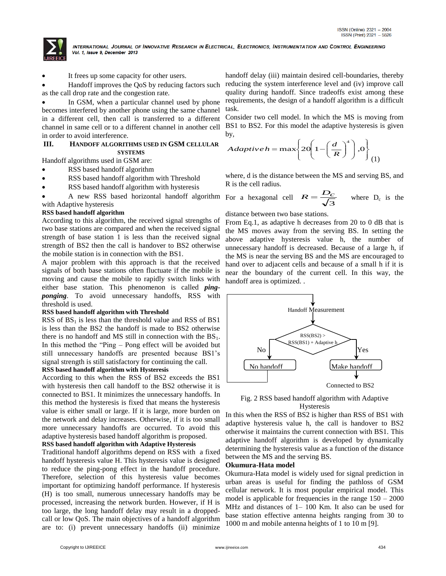

It frees up some capacity for other users.

 Handoff improves the QoS by reducing factors such as the call drop rate and the congestion rate.

 In GSM, when a particular channel used by phone becomes interfered by another phone using the same channel in a different cell, then call is transferred to a different channel in same cell or to a different channel in another cell in order to avoid interference.

#### **III. HANDOFF ALGORITHMS USED IN GSM CELLULAR SYSTEMS**

Handoff algorithms used in GSM are:

- RSS based handoff algorithm
- RSS based handoff algorithm with Threshold
- RSS based handoff algorithm with hysteresis
- A new RSS based horizontal handoff algorithm with Adaptive hysteresis

#### **RSS based handoff algorithm**

According to this algorithm, the received signal strengths of two base stations are compared and when the received signal strength of base station 1 is less than the received signal strength of BS2 then the call is handover to BS2 otherwise the mobile station is in connection with the BS1.

A major problem with this approach is that the received signals of both base stations often fluctuate if the mobile is moving and cause the mobile to rapidly switch links with either base station. This phenomenon is called *pingponging*. To avoid unnecessary handoffs, RSS with threshold is used.

#### **RSS based handoff algorithm with Threshold**

RSS of  $BS<sub>1</sub>$  is less than the threshold value and RSS of BS1 is less than the BS2 the handoff is made to BS2 otherwise there is no handoff and MS still in connection with the  $BS<sub>1</sub>$ . In this method the "Ping – Pong effect will be avoided but still unnecessary handoffs are presented because BS1"s signal strength is still satisfactory for continuing the call.

#### **RSS based handoff algorithm with Hysteresis**

According to this when the RSS of BS2 exceeds the BS1 with hysteresis then call handoff to the BS2 otherwise it is connected to BS1. It minimizes the unnecessary handoffs. In this method the hysteresis is fixed that means the hysteresis value is either small or large. If it is large, more burden on the network and delay increases. Otherwise, if it is too small more unnecessary handoffs are occurred. To avoid this adaptive hysteresis based handoff algorithm is proposed.

#### **RSS based handoff algorithm with Adaptive Hysteresis**

Traditional handoff algorithms depend on RSS with a fixed handoff hysteresis value H. This hysteresis value is designed to reduce the ping-pong effect in the handoff procedure. Therefore, selection of this hysteresis value becomes important for optimizing handoff performance. If hysteresis (H) is too small, numerous unnecessary handoffs may be processed, increasing the network burden. However, if H is too large, the long handoff delay may result in a droppedcall or low QoS. The main objectives of a handoff algorithm are to: (i) prevent unnecessary handoffs (ii) minimize

handoff delay (iii) maintain desired cell-boundaries, thereby reducing the system interference level and (iv) improve call quality during handoff. Since tradeoffs exist among these requirements, the design of a handoff algorithm is a difficult task.

Consider two cell model. In which the MS is moving from BS1 to BS2. For this model the adaptive hysteresis is given by,

$$
Adaptive h = \max \left\{ 20 \left( 1 - \left( \frac{d}{R} \right)^4 \right), 0 \right\}
$$

where, d is the distance between the MS and serving BS, and R is the cell radius.

For a hexagonal cell  $R = \frac{\Sigma_c}{\sqrt{3}}$  $R = \frac{D_c}{\sqrt{2}}$  where  $D_c$  is the

#### distance between two base stations.

From Eq.1, as adaptive h decreases from 20 to 0 dB that is the MS moves away from the serving BS. In setting the above adaptive hysteresis value h, the number of unnecessary handoff is decreased. Because of a large h, if the MS is near the serving BS and the MS are encouraged to hand over to adjacent cells and because of a small h if it is near the boundary of the current cell. In this way, the handoff area is optimized. .



Fig. 2 RSS based handoff algorithm with Adaptive Hysteresis

In this when the RSS of BS2 is higher than RSS of BS1 with adaptive hysteresis value h, the call is handover to BS2 otherwise it maintains the current connection with BS1. This adaptive handoff algorithm is developed by dynamically determining the hysteresis value as a function of the distance between the MS and the serving BS.

#### **Okumura-Hata model**

Okumura-Hata model is widely used for signal prediction in urban areas is useful for finding the pathloss of GSM cellular network. It is most popular empirical model. This model is applicable for frequencies in the range  $150 - 2000$ MHz and distances of 1– 100 Km. It also can be used for base station effective antenna heights ranging from 30 to 1000 m and mobile antenna heights of 1 to 10 m [9].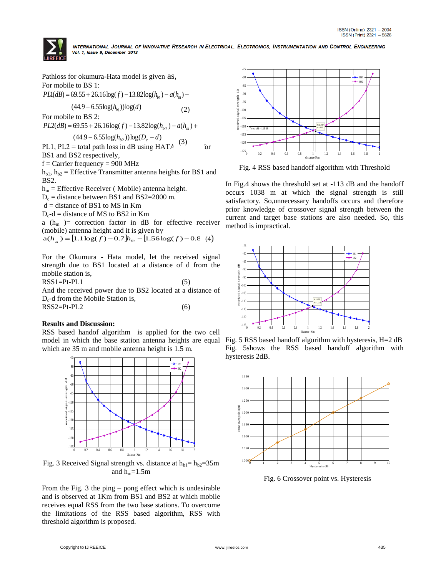

Pathloss for okumura-Hata model is given as, For mobile to BS 1:  $(44.9 - 6.55 \log(h_{b_1})) \log(d)$  $PL1(dB) = 69.55 + 26.16 \log(f) - 13.82 \log(h_{b_1}) - a(h_m) +$ For mobile to BS 2:  $(44.9 - 6.55 \log(h_{b2})) \log(D_c - d)$  $PL2(dB) = 69.55 + 26.16 \log(f) - 13.82 \log(h_{b_2}) - a(h_m) +$ PL1, PL2 = total path loss in dB using HATA  $\frac{1}{2}$  or BS1 and BS2 respectively,  $f =$ Carrier frequency = 900 MHz  $h_{b1}$ ,  $h_{b2}$  = Effective Transmitter antenna heights for BS1 and BS2.  $h_m$  = Effective Receiver ( Mobile) antenna height.  $D_c$  = distance between BS1 and BS2=2000 m.  $d = distance of BS1 to MS in Km$  $D_c-d =$  distance of MS to BS2 in Km a ( $h_m$ ) = correction factor in dB for effective receiver (mobile) antenna height and it is given by  $a(h_m) = [1.1 \log(f) - 0.7]h_m - [1.56 \log(f) - 0.8 \text{ (4)}]$ (2) (3)

For the Okumura - Hata model, let the received signal strength due to BS1 located at a distance of d from the mobile station is,

 $RSS1 = Pt - PL1$  (5)

And the received power due to BS2 located at a distance of  $D_c$ -d from the Mobile Station is,  $RSS2 = Pt - PL2$  (6)

## **Results and Discussion:**

RSS based handof algorithm is applied for the two cell model in which the base station antenna heights are equal which are 35 m and mobile antenna height is 1.5 m.



Fig. 3 Received Signal strength vs. distance at  $h_{b1}= h_{b2}=35 \text{m}$ and  $h_m=1.5m$ 

From the Fig. 3 the ping – pong effect which is undesirable and is observed at 1Km from BS1 and BS2 at which mobile receives equal RSS from the two base stations. To overcome the limitations of the RSS based algorithm, RSS with threshold algorithm is proposed.



Fig. 4 RSS based handoff algorithm with Threshold

In Fig.4 shows the threshold set at -113 dB and the handoff occurs 1038 m at which the signal strength is still satisfactory. So,unnecessary handoffs occurs and therefore prior knowledge of crossover signal strength between the current and target base stations are also needed. So, this method is impractical.



Fig. 5 RSS based handoff algorithm with hysteresis, H=2 dB Fig. 5shows the RSS based handoff algorithm with hysteresis 2dB.



Fi Fig. 6 Crossover point vs. Hysteresis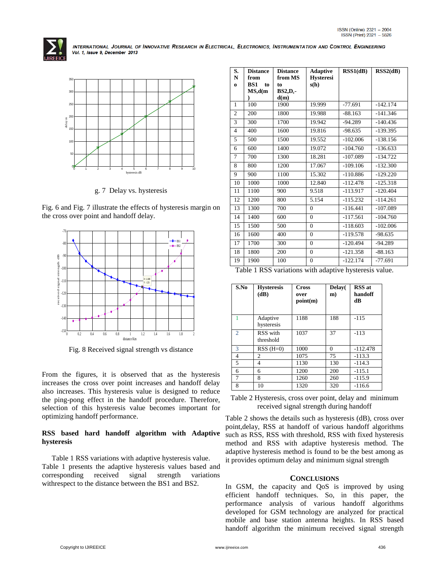



g. 7 Delay vs. hysteresis

Fig. 6 and Fig. 7 illustrate the effects of hysteresis margin on the cross over point and handoff delay.



Fig. 8 Received signal strength vs distance

From the figures, it is observed that as the hysteresis increases the cross over point increases and handoff delay also increases. This hysteresis value is designed to reduce the ping-pong effect in the handoff procedure. Therefore, selection of this hysteresis value becomes important for optimizing handoff performance.

#### **RSS based hard handoff algorithm with Adaptive hysteresis**

Table 1 RSS variations with adaptive hysteresis value. Table 1 presents the adaptive hysteresis values based and corresponding received signal strength variations withrespect to the distance between the BS1 and BS2.

| S.<br>N        | <b>Distance</b><br>from | <b>Distance</b><br>from MS | <b>Adaptive</b><br><b>Hysteresi</b> | RSS1(dB)   | RSS2(dB)   |
|----------------|-------------------------|----------------------------|-------------------------------------|------------|------------|
| $\bf{o}$       | BS1<br>to               | to                         | s(h)                                |            |            |
|                | MS,d(m)                 | $BS2,D_c$                  |                                     |            |            |
|                |                         | d(m)                       |                                     |            |            |
| $\mathbf{1}$   | 100                     | 1900                       | 19.999                              | $-77.691$  | $-142.174$ |
| $\overline{2}$ | 200                     | 1800                       | 19.988                              | $-88.163$  | $-141.346$ |
| 3              | 300                     | 1700                       | 19.942                              | $-94.289$  | $-140.436$ |
| $\overline{4}$ | 400                     | 1600                       | 19.816                              | $-98.635$  | $-139.395$ |
| 5              | 500                     | 1500                       | 19.552                              | $-102.006$ | $-138.156$ |
| 6              | 600                     | 1400                       | 19.072                              | $-104.760$ | $-136.633$ |
| $\tau$         | 700                     | 1300                       | 18.281                              | $-107.089$ | $-134.722$ |
| 8              | 800                     | 1200                       | 17.067                              | $-109.106$ | $-132.300$ |
| 9              | 900                     | 1100                       | 15.302                              | $-110.886$ | $-129.220$ |
| 10             | 1000                    | 1000                       | 12.840                              | $-112.478$ | $-125.318$ |
| 11             | 1100                    | 900                        | 9.518                               | $-113.917$ | $-120.404$ |
| 12             | 1200                    | 800                        | 5.154                               | $-115.232$ | $-114.261$ |
| 13             | 1300                    | 700                        | $\theta$                            | $-116.441$ | $-107.089$ |
| 14             | 1400                    | 600                        | $\overline{0}$                      | $-117.561$ | $-104.760$ |
| 15             | 1500                    | 500                        | $\theta$                            | $-118.603$ | $-102.006$ |
| 16             | 1600                    | 400                        | $\theta$                            | $-119.578$ | $-98.635$  |
| 17             | 1700                    | 300                        | $\overline{0}$                      | $-120.494$ | $-94.289$  |
| 18             | 1800                    | 200                        | $\mathbf{0}$                        | $-121.358$ | $-88.163$  |
| 19             | 1900                    | 100                        | $\overline{0}$                      | $-122.174$ | $-77.691$  |

Table 1 RSS variations with adaptive hysteresis value.

| S.No           | <b>Hysteresis</b><br>(dB) | <b>Cross</b><br>over<br>point(m) | Delay(<br>m) | <b>RSS</b> at<br>handoff<br>dВ |
|----------------|---------------------------|----------------------------------|--------------|--------------------------------|
|                | Adaptive<br>hysteresis    | 1188                             | 188          | $-115$                         |
| $\overline{2}$ | RSS with<br>threshold     | 1037                             | 37           | $-113$                         |
| 3              | $RSS(H=0)$                | 1000                             | $\Omega$     | $-112.478$                     |
| $\overline{4}$ | 2                         | 1075                             | 75           | $-113.3$                       |
| 5              | 4                         | 1130                             | 130          | $-114.3$                       |
| 6              | 6                         | 1200                             | 200          | $-115.1$                       |
| 7              | 8                         | 1260                             | 260          | $-115.9$                       |
| 8              | 10                        | 1320                             | 320          | $-116.6$                       |

Table 2 Hysteresis, cross over point, delay and minimum received signal strength during handoff

Table 2 shows the details such as hysteresis (dB), cross over point,delay, RSS at handoff of various handoff algorithms such as RSS, RSS with threshold, RSS with fixed hysteresis method and RSS with adaptive hysteresis method. The adaptive hysteresis method is found to be the best among as it provides optimum delay and minimum signal strength

## **CONCLUSIONS**

In GSM, the capacity and QoS is improved by using efficient handoff techniques. So, in this paper, the performance analysis of various handoff algorithms developed for GSM technology are analyzed for practical mobile and base station antenna heights. In RSS based handoff algorithm the minimum received signal strength